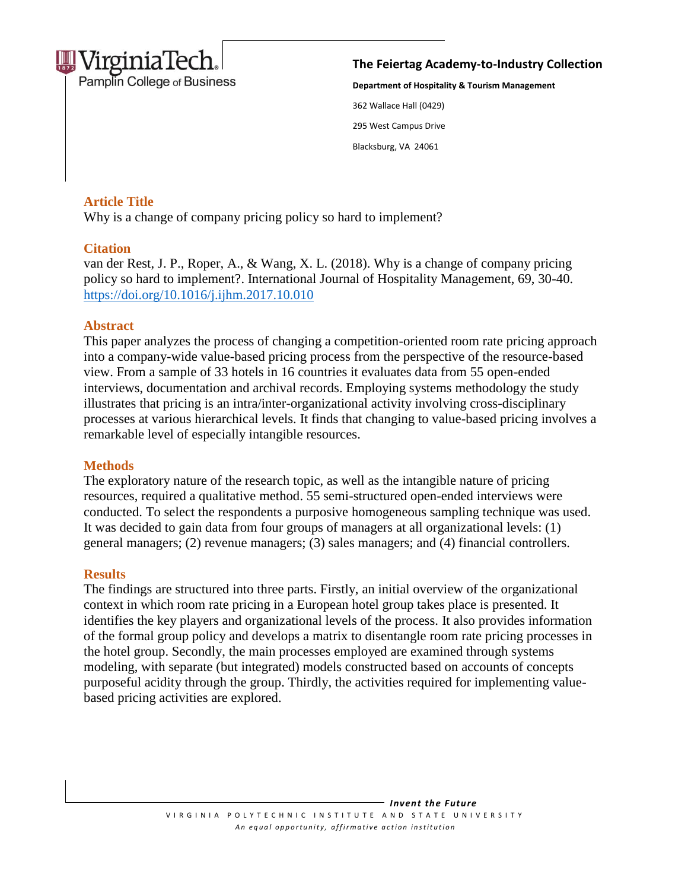

Pamplin College of Business

**The Feiertag Academy-to-Industry Collection** 

**Department of Hospitality & Tourism Management** 362 Wallace Hall (0429) 295 West Campus Drive Blacksburg, VA 24061

## **Article Title**

Why is a change of company pricing policy so hard to implement?

### **Citation**

van der Rest, J. P., Roper, A., & Wang, X. L. (2018). Why is a change of company pricing  $\mathbf{r}$  extending  $\mathbf{r}$ policy so hard to implement?. International Journal of Hospitality Management, 69, 30-40. <https://doi.org/10.1016/j.ijhm.2017.10.010>

### **Abstract**

This paper analyzes the process of changing a competition-oriented room rate pricing approach into a company-wide value-based pricing process from the perspective of the resource-based view. From a sample of 33 hotels in 16 countries it evaluates data from 55 open-ended interviews, documentation and archival records. Employing systems methodology the study illustrates that pricing is an intra/inter-organizational activity involving cross-disciplinary processes at various hierarchical levels. It finds that changing to value-based pricing involves a remarkable level of especially intangible resources.

### **Methods**

The exploratory nature of the research topic, as well as the intangible nature of pricing resources, required a qualitative method. 55 semi-structured open-ended interviews were conducted. To select the respondents a purposive homogeneous sampling technique was used. It was decided to gain data from four groups of managers at all organizational levels: (1) general managers; (2) revenue managers; (3) sales managers; and (4) financial controllers.

# **Results**

The findings are structured into three parts. Firstly, an initial overview of the organizational context in which room rate pricing in a European hotel group takes place is presented. It identifies the key players and organizational levels of the process. It also provides information of the formal group policy and develops a matrix to disentangle room rate pricing processes in the hotel group. Secondly, the main processes employed are examined through systems modeling, with separate (but integrated) models constructed based on accounts of concepts purposeful acidity through the group. Thirdly, the activities required for implementing valuebased pricing activities are explored.